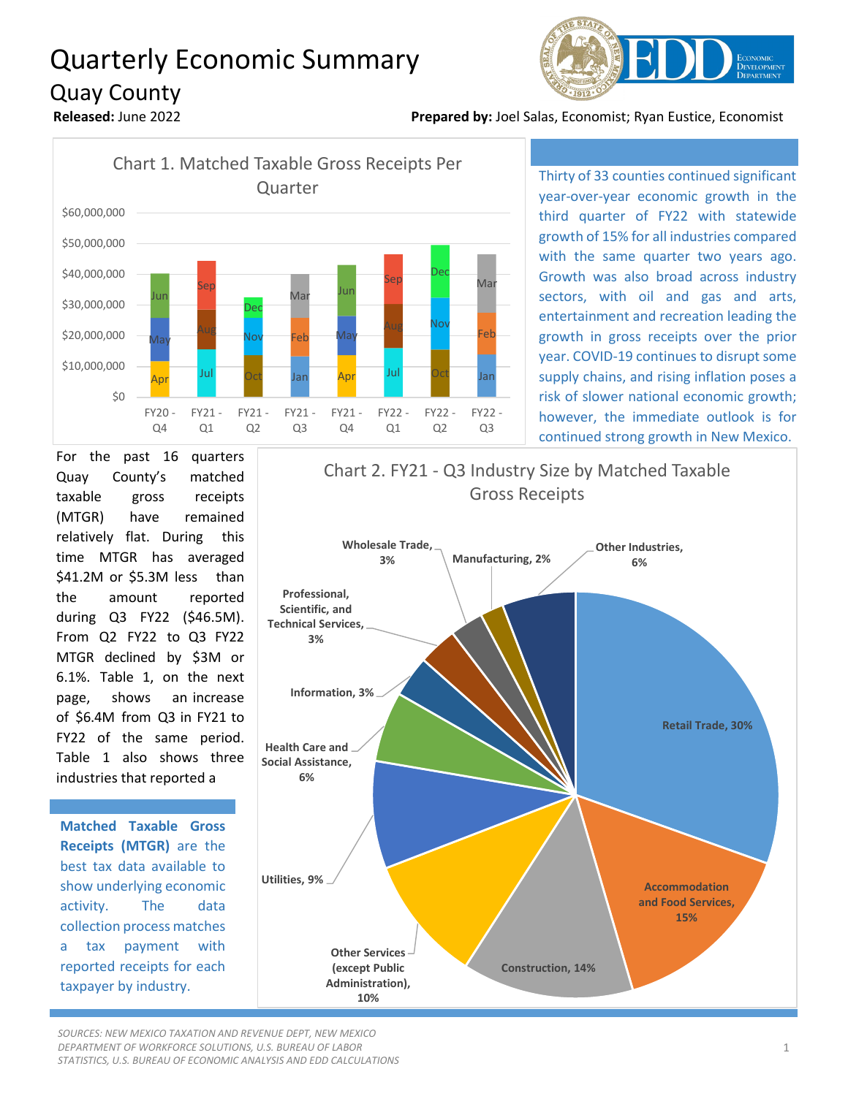## Quarterly Economic Summary Quay County



**Released:** June 2022 **Prepared by:** Joel Salas, Economist; Ryan Eustice, Economist



Thirty of 33 counties continued significant year-over-year economic growth in the third quarter of FY22 with statewide growth of 15% for all industries compared with the same quarter two years ago. Growth was also broad across industry sectors, with oil and gas and arts, entertainment and recreation leading the growth in gross receipts over the prior year. COVID-19 continues to disrupt some supply chains, and rising inflation poses a risk of slower national economic growth; however, the immediate outlook is for continued strong growth in New Mexico.

For the past 16 quarters Quay County's matched taxable gross receipts (MTGR) have remained relatively flat. During this time MTGR has averaged \$41.2M or \$5.3M less than the amount reported during Q3 FY22 (\$46.5M). From Q2 FY22 to Q3 FY22 MTGR declined by \$3M or 6.1%. Table 1, on the next page, shows an increase of \$6.4M from Q3 in FY21 to FY22 of the same period. Table 1 also shows three industries that reported a

**Matched Taxable Gross Receipts (MTGR)** are the best tax data available to show underlying economic activity. The data collection process matches a tax payment with reported receipts for each taxpayer by industry.



*SOURCES: NEW MEXICO TAXATION AND REVENUE DEPT, NEW MEXICO DEPARTMENT OF WORKFORCE SOLUTIONS, U.S. BUREAU OF LABOR STATISTICS, U.S. BUREAU OF ECONOMIC ANALYSIS AND EDD CALCULATIONS*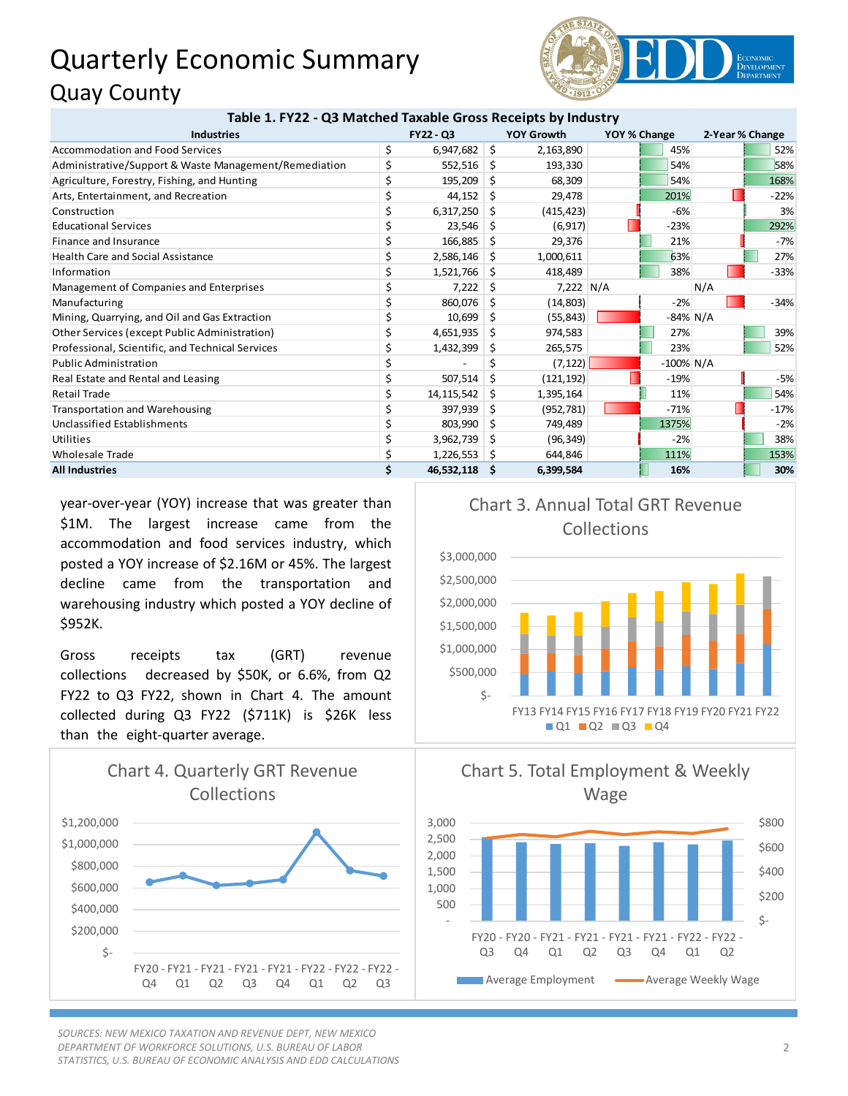## Quarterly Economic Summary Quay County



| Table 1. FY22 - Q3 Matched Taxable Gross Receipts by Industry |                  |            |                   |             |              |              |                 |        |
|---------------------------------------------------------------|------------------|------------|-------------------|-------------|--------------|--------------|-----------------|--------|
| <b>Industries</b>                                             | <b>FY22 - Q3</b> |            | <b>YOY Growth</b> |             | YOY % Change |              | 2-Year % Change |        |
| Accommodation and Food Services                               | \$               | 6,947,682  | \$                | 2,163,890   |              | 45%          |                 | 52%    |
| Administrative/Support & Waste Management/Remediation         |                  | 552,516    | Ŝ.                | 193,330     |              | 54%          |                 | 58%    |
| Agriculture, Forestry, Fishing, and Hunting                   |                  | 195,209    | Ŝ.                | 68,309      |              | 54%          |                 | 168%   |
| Arts, Entertainment, and Recreation                           |                  | 44,152     | Ŝ                 | 29,478      |              | 201%         |                 | $-22%$ |
| Construction                                                  |                  | 6,317,250  | S                 | (415, 423)  |              | $-6%$        |                 | 3%     |
| <b>Educational Services</b>                                   |                  | 23,546     | S                 | (6, 917)    |              | $-23%$       |                 | 292%   |
| Finance and Insurance                                         |                  | 166,885    | S                 | 29,376      |              | 21%          |                 | $-7%$  |
| <b>Health Care and Social Assistance</b>                      |                  | 2,586,146  | S                 | 1,000,611   |              | 63%          |                 | 27%    |
| Information                                                   |                  | 1,521,766  | s                 | 418,489     |              | 38%          |                 | $-33%$ |
| Management of Companies and Enterprises                       |                  | 7,222      | Ŝ                 | $7,222$ N/A |              |              | N/A             |        |
| Manufacturing                                                 |                  | 860,076    | Ŝ.                | (14, 803)   |              | $-2%$        |                 | $-34%$ |
| Mining, Quarrying, and Oil and Gas Extraction                 |                  | 10,699     | Ŝ                 | (55, 843)   |              | $-84\%$ N/A  |                 |        |
| Other Services (except Public Administration)                 |                  | 4,651,935  | S                 | 974,583     |              | 27%          |                 | 39%    |
| Professional, Scientific, and Technical Services              |                  | 1,432,399  | S                 | 265,575     |              | 23%          |                 | 52%    |
| <b>Public Administration</b>                                  |                  |            |                   | (7, 122)    |              | $-100\%$ N/A |                 |        |
| Real Estate and Rental and Leasing                            |                  | 507,514    | Ŝ.                | (121, 192)  |              | $-19%$       |                 | $-5%$  |
| <b>Retail Trade</b>                                           |                  | 14,115,542 | S                 | 1,395,164   |              | 11%          |                 | 54%    |
| <b>Transportation and Warehousing</b>                         |                  | 397,939    | S                 | (952, 781)  |              | $-71%$       |                 | $-17%$ |
| Unclassified Establishments                                   |                  | 803,990    | S                 | 749,489     |              | 1375%        |                 | $-2%$  |
| Utilities                                                     |                  | 3,962,739  | S                 | (96, 349)   |              | $-2%$        |                 | 38%    |
| <b>Wholesale Trade</b>                                        | \$               | 1,226,553  |                   | 644,846     |              | 111%         |                 | 153%   |
| <b>All Industries</b>                                         | Ś.               | 46,532,118 | S                 | 6,399,584   |              | 16%          |                 | 30%    |

year-over-year (YOY) increase that was greater than \$1M. The largest increase came from the accommodation and food services industry, which posted a YOY increase of \$2.16M or 45%. The largest decline came from the transportation and warehousing industry which posted a YOY decline of \$952K.

Gross receipts tax (GRT) revenue collections decreased by \$50K, or 6.6%, from Q2 FY22 to Q3 FY22, shown in Chart 4. The amount collected during Q3 FY22 (\$711K) is \$26K less than the eight-quarter average.



*SOURCES: NEW MEXICO TAXATION AND REVENUE DEPT, NEW MEXICO DEPARTMENT OF WORKFORCE SOLUTIONS, U.S. BUREAU OF LABOR STATISTICS, U.S. BUREAU OF ECONOMIC ANALYSIS AND EDD CALCULATIONS*